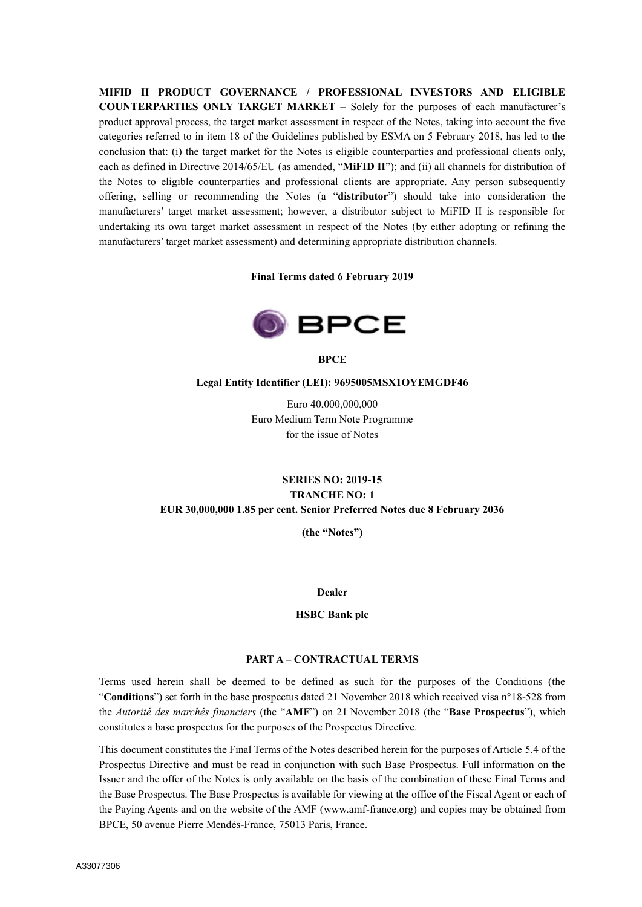**MIFID II PRODUCT GOVERNANCE / PROFESSIONAL INVESTORS AND ELIGIBLE COUNTERPARTIES ONLY TARGET MARKET** – Solely for the purposes of each manufacturer's product approval process, the target market assessment in respect of the Notes, taking into account the five categories referred to in item 18 of the Guidelines published by ESMA on 5 February 2018, has led to the conclusion that: (i) the target market for the Notes is eligible counterparties and professional clients only, each as defined in Directive 2014/65/EU (as amended, "**MiFID II**"); and (ii) all channels for distribution of the Notes to eligible counterparties and professional clients are appropriate. Any person subsequently offering, selling or recommending the Notes (a "**distributor**") should take into consideration the manufacturers' target market assessment; however, a distributor subject to MiFID II is responsible for undertaking its own target market assessment in respect of the Notes (by either adopting or refining the manufacturers' target market assessment) and determining appropriate distribution channels.

**Final Terms dated 6 February 2019**



**BPCE**

### **Legal Entity Identifier (LEI): 9695005MSX1OYEMGDF46**

Euro 40,000,000,000 Euro Medium Term Note Programme for the issue of Notes

# **SERIES NO: 2019-15 TRANCHE NO: 1 EUR 30,000,000 1.85 per cent. Senior Preferred Notes due 8 February 2036**

**(the "Notes")**

#### **Dealer**

#### **HSBC Bank plc**

### **PART A – CONTRACTUAL TERMS**

Terms used herein shall be deemed to be defined as such for the purposes of the Conditions (the "**Conditions**") set forth in the base prospectus dated 21 November 2018 which received visa n°18-528 from the *Autorité des marchés financiers* (the "**AMF**") on 21 November 2018 (the "**Base Prospectus**"), which constitutes a base prospectus for the purposes of the Prospectus Directive.

This document constitutes the Final Terms of the Notes described herein for the purposes of Article 5.4 of the Prospectus Directive and must be read in conjunction with such Base Prospectus. Full information on the Issuer and the offer of the Notes is only available on the basis of the combination of these Final Terms and the Base Prospectus. The Base Prospectus is available for viewing at the office of the Fiscal Agent or each of the Paying Agents and on the website of the AMF (www.amf-france.org) and copies may be obtained from BPCE, 50 avenue Pierre Mendès-France, 75013 Paris, France.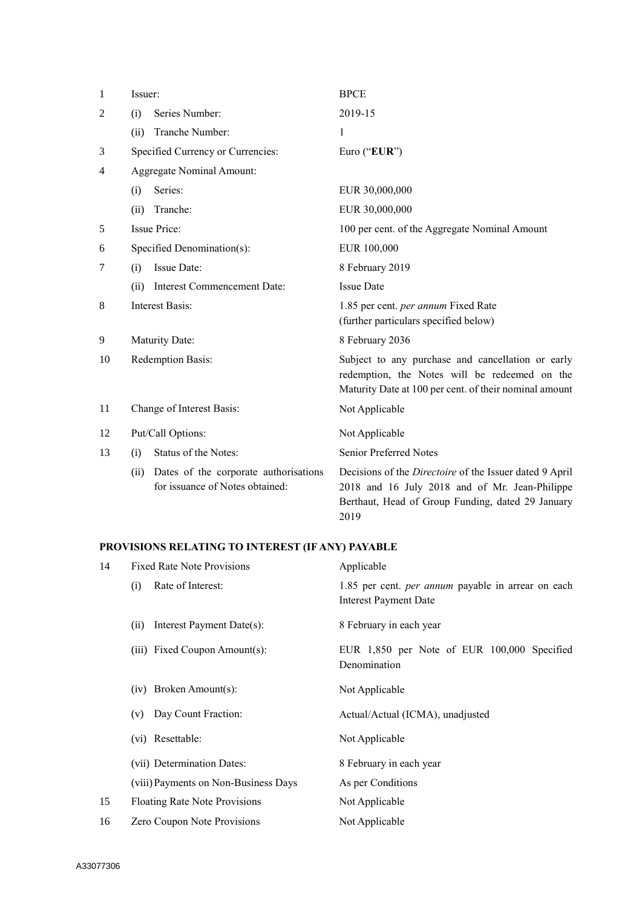| 1  | Issuer:                                                                          | <b>BPCE</b>                                                                                                                                                            |  |
|----|----------------------------------------------------------------------------------|------------------------------------------------------------------------------------------------------------------------------------------------------------------------|--|
| 2  | Series Number:<br>(i)                                                            | 2019-15                                                                                                                                                                |  |
|    | Tranche Number:<br>(ii)                                                          | 1                                                                                                                                                                      |  |
| 3  | Specified Currency or Currencies:                                                | Euro ("EUR")                                                                                                                                                           |  |
| 4  | Aggregate Nominal Amount:                                                        |                                                                                                                                                                        |  |
|    | Series:<br>(i)                                                                   | EUR 30,000,000                                                                                                                                                         |  |
|    | Tranche:<br>(ii)                                                                 | EUR 30,000,000                                                                                                                                                         |  |
| 5  | <b>Issue Price:</b>                                                              | 100 per cent. of the Aggregate Nominal Amount                                                                                                                          |  |
| 6  | Specified Denomination(s):                                                       | EUR 100,000                                                                                                                                                            |  |
| 7  | Issue Date:<br>(i)                                                               | 8 February 2019                                                                                                                                                        |  |
|    | Interest Commencement Date:<br>(ii)                                              | <b>Issue Date</b>                                                                                                                                                      |  |
| 8  | <b>Interest Basis:</b>                                                           | 1.85 per cent. per annum Fixed Rate<br>(further particulars specified below)                                                                                           |  |
| 9  | Maturity Date:                                                                   | 8 February 2036                                                                                                                                                        |  |
| 10 | Redemption Basis:                                                                | Subject to any purchase and cancellation or early<br>redemption, the Notes will be redeemed on the<br>Maturity Date at 100 per cent. of their nominal amount           |  |
| 11 | Change of Interest Basis:                                                        | Not Applicable                                                                                                                                                         |  |
| 12 | Put/Call Options:                                                                | Not Applicable                                                                                                                                                         |  |
| 13 | Status of the Notes:<br>(i)                                                      | Senior Preferred Notes                                                                                                                                                 |  |
|    | Dates of the corporate authorisations<br>(ii)<br>for issuance of Notes obtained: | Decisions of the Directoire of the Issuer dated 9 April<br>2018 and 16 July 2018 and of Mr. Jean-Philippe<br>Berthaut, Head of Group Funding, dated 29 January<br>2019 |  |

# **PROVISIONS RELATING TO INTEREST (IF ANY) PAYABLE**

| 14 | <b>Fixed Rate Note Provisions</b>    | Applicable                                                                                |
|----|--------------------------------------|-------------------------------------------------------------------------------------------|
|    | Rate of Interest:<br>(i)             | 1.85 per cent. <i>per annum</i> payable in arrear on each<br><b>Interest Payment Date</b> |
|    | Interest Payment Date(s):<br>(ii)    | 8 February in each year                                                                   |
|    | (iii) Fixed Coupon Amount(s):        | EUR 1,850 per Note of EUR 100,000 Specified<br>Denomination                               |
|    | $(iv)$ Broken Amount $(s)$ :         | Not Applicable                                                                            |
|    | Day Count Fraction:<br>(v)           | Actual/Actual (ICMA), unadjusted                                                          |
|    | (vi) Resettable:                     | Not Applicable                                                                            |
|    | (vii) Determination Dates:           | 8 February in each year                                                                   |
|    | (viii) Payments on Non-Business Days | As per Conditions                                                                         |
| 15 | Floating Rate Note Provisions        | Not Applicable                                                                            |
| 16 | Zero Coupon Note Provisions          | Not Applicable                                                                            |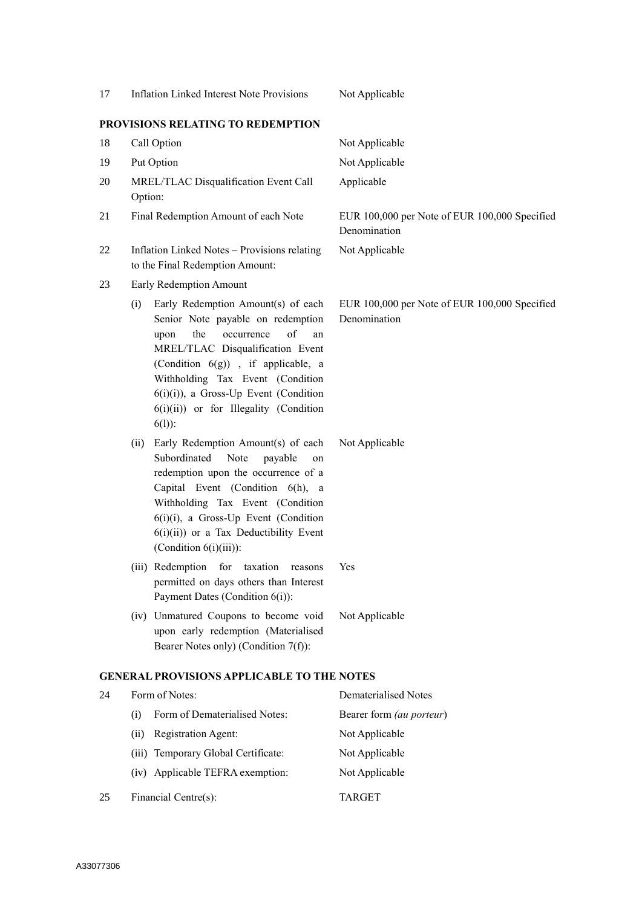|                                                                                                         | 17 | <b>Inflation Linked Interest Note Provisions</b>                                                                                                                                                                                                                                                                                       | Not Applicable                                                |
|---------------------------------------------------------------------------------------------------------|----|----------------------------------------------------------------------------------------------------------------------------------------------------------------------------------------------------------------------------------------------------------------------------------------------------------------------------------------|---------------------------------------------------------------|
|                                                                                                         |    | PROVISIONS RELATING TO REDEMPTION                                                                                                                                                                                                                                                                                                      |                                                               |
|                                                                                                         | 18 | Call Option                                                                                                                                                                                                                                                                                                                            | Not Applicable                                                |
|                                                                                                         | 19 | Put Option                                                                                                                                                                                                                                                                                                                             | Not Applicable                                                |
|                                                                                                         | 20 | MREL/TLAC Disqualification Event Call<br>Option:                                                                                                                                                                                                                                                                                       | Applicable                                                    |
|                                                                                                         | 21 | Final Redemption Amount of each Note                                                                                                                                                                                                                                                                                                   | EUR 100,000 per Note of EUR 100,000 Specified<br>Denomination |
| 22<br>Inflation Linked Notes - Provisions relating<br>Not Applicable<br>to the Final Redemption Amount: |    |                                                                                                                                                                                                                                                                                                                                        |                                                               |
| 23<br>Early Redemption Amount                                                                           |    |                                                                                                                                                                                                                                                                                                                                        |                                                               |
|                                                                                                         |    | Early Redemption Amount(s) of each<br>(i)<br>Senior Note payable on redemption<br>of<br>the<br>occurrence<br>upon<br>an<br>MREL/TLAC Disqualification Event<br>(Condition 6(g)), if applicable, a<br>Withholding Tax Event (Condition<br>$6(i)(i)$ , a Gross-Up Event (Condition<br>6(i)(ii)) or for Illegality (Condition<br>$6(1)$ : | EUR 100,000 per Note of EUR 100,000 Specified<br>Denomination |
|                                                                                                         |    | Early Redemption Amount(s) of each<br>(ii)<br>Subordinated<br>Note<br>payable<br>on<br>redemption upon the occurrence of a<br>Capital Event (Condition 6(h), a<br>Withholding Tax Event (Condition<br>6(i)(i), a Gross-Up Event (Condition<br>$6(i)(ii)$ or a Tax Deductibility Event<br>(Condition $6(i)(iii)$ ):                     | Not Applicable                                                |
|                                                                                                         |    | (iii) Redemption for taxation reasons<br>permitted on days others than Interest<br>Payment Dates (Condition 6(i)):                                                                                                                                                                                                                     | Yes                                                           |
|                                                                                                         |    | (iv) Unmatured Coupons to become void<br>upon early redemption (Materialised<br>Bearer Notes only) (Condition 7(f)):                                                                                                                                                                                                                   | Not Applicable                                                |
|                                                                                                         |    | <b>GENERAL PROVISIONS APPLICABLE TO THE NOTES</b>                                                                                                                                                                                                                                                                                      |                                                               |
|                                                                                                         | 24 | Form of Notes:                                                                                                                                                                                                                                                                                                                         | <b>Dematerialised Notes</b>                                   |
|                                                                                                         |    | Form of Dematerialised Notes:<br>(i)                                                                                                                                                                                                                                                                                                   | Bearer form (au porteur)                                      |
|                                                                                                         |    | Registration Agent:<br>(ii)                                                                                                                                                                                                                                                                                                            | Not Applicable                                                |

- (iii) Temporary Global Certificate: Not Applicable
- (iv) Applicable TEFRA exemption: Not Applicable
- 25 Financial Centre(s): TARGET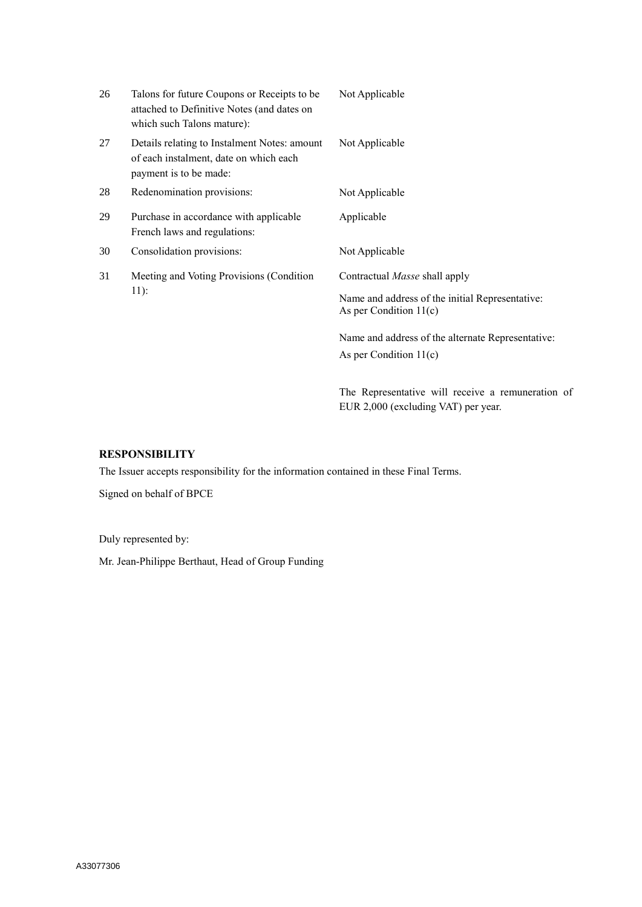| 26 | Talons for future Coupons or Receipts to be<br>attached to Definitive Notes (and dates on<br>which such Talons mature): | Not Applicable                                                                |
|----|-------------------------------------------------------------------------------------------------------------------------|-------------------------------------------------------------------------------|
| 27 | Details relating to Instalment Notes: amount<br>of each instalment, date on which each<br>payment is to be made:        | Not Applicable                                                                |
| 28 | Redenomination provisions:                                                                                              | Not Applicable                                                                |
| 29 | Purchase in accordance with applicable<br>French laws and regulations:                                                  | Applicable                                                                    |
| 30 | Consolidation provisions:                                                                                               | Not Applicable                                                                |
| 31 | Meeting and Voting Provisions (Condition<br>$11$ :                                                                      | Contractual Masse shall apply                                                 |
|    |                                                                                                                         | Name and address of the initial Representative:<br>As per Condition $11(c)$   |
|    |                                                                                                                         | Name and address of the alternate Representative:<br>As per Condition $11(c)$ |
|    |                                                                                                                         | The Representative will receive a remuneration of                             |

EUR 2,000 (excluding VAT) per year.

## **RESPONSIBILITY**

The Issuer accepts responsibility for the information contained in these Final Terms.

Signed on behalf of BPCE

Duly represented by:

Mr. Jean-Philippe Berthaut, Head of Group Funding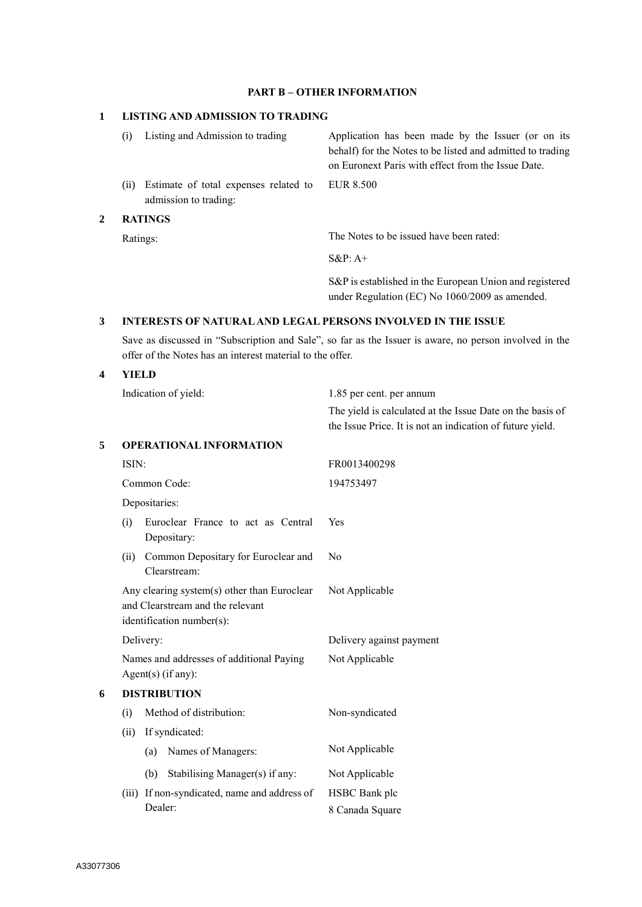## **PART B – OTHER INFORMATION**

## **1 LISTING AND ADMISSION TO TRADING**

|   | (i)      | Listing and Admission to trading                               | Application has been made by the Issuer (or on its<br>behalf) for the Notes to be listed and admitted to trading<br>on Euronext Paris with effect from the Issue Date. |
|---|----------|----------------------------------------------------------------|------------------------------------------------------------------------------------------------------------------------------------------------------------------------|
|   | (i)      | Estimate of total expenses related to<br>admission to trading: | EUR 8.500                                                                                                                                                              |
| 2 |          | <b>RATINGS</b>                                                 |                                                                                                                                                                        |
|   | Ratings: |                                                                | The Notes to be issued have been rated:                                                                                                                                |

S&P: A+

S&P is established in the European Union and registered under Regulation (EC) No 1060/2009 as amended.

The yield is calculated at the Issue Date on the basis of

## **3 INTERESTS OF NATURAL AND LEGAL PERSONS INVOLVED IN THE ISSUE**

Save as discussed in "Subscription and Sale", so far as the Issuer is aware, no person involved in the offer of the Notes has an interest material to the offer.

**4 YIELD**

Indication of yield: 1.85 per cent. per annum

|   |                                |               |                                                                                                              | the Issue Price. It is not an indication of future yield. |
|---|--------------------------------|---------------|--------------------------------------------------------------------------------------------------------------|-----------------------------------------------------------|
| 5 | <b>OPERATIONAL INFORMATION</b> |               |                                                                                                              |                                                           |
|   | ISIN:<br>Common Code:          |               |                                                                                                              | FR0013400298                                              |
|   |                                |               |                                                                                                              | 194753497                                                 |
|   |                                | Depositaries: |                                                                                                              |                                                           |
|   | (i)                            |               | Euroclear France to act as Central<br>Depositary:                                                            | Yes                                                       |
|   | (ii)                           |               | Common Depositary for Euroclear and<br>Clearstream:                                                          | No                                                        |
|   |                                |               | Any clearing system(s) other than Euroclear<br>and Clearstream and the relevant<br>identification number(s): | Not Applicable                                            |
|   | Delivery:                      |               |                                                                                                              | Delivery against payment                                  |
|   |                                |               | Names and addresses of additional Paying<br>$Agent(s)$ (if any):                                             | Not Applicable                                            |
| 6 | <b>DISTRIBUTION</b>            |               |                                                                                                              |                                                           |
|   | (i)                            |               | Method of distribution:                                                                                      | Non-syndicated                                            |
|   | If syndicated:<br>(ii)         |               |                                                                                                              |                                                           |
|   |                                | (a)           | Names of Managers:                                                                                           | Not Applicable                                            |
|   |                                | (b)           | Stabilising Manager(s) if any:                                                                               | Not Applicable                                            |
|   |                                | Dealer:       | (iii) If non-syndicated, name and address of                                                                 | HSBC Bank plc<br>8 Canada Square                          |